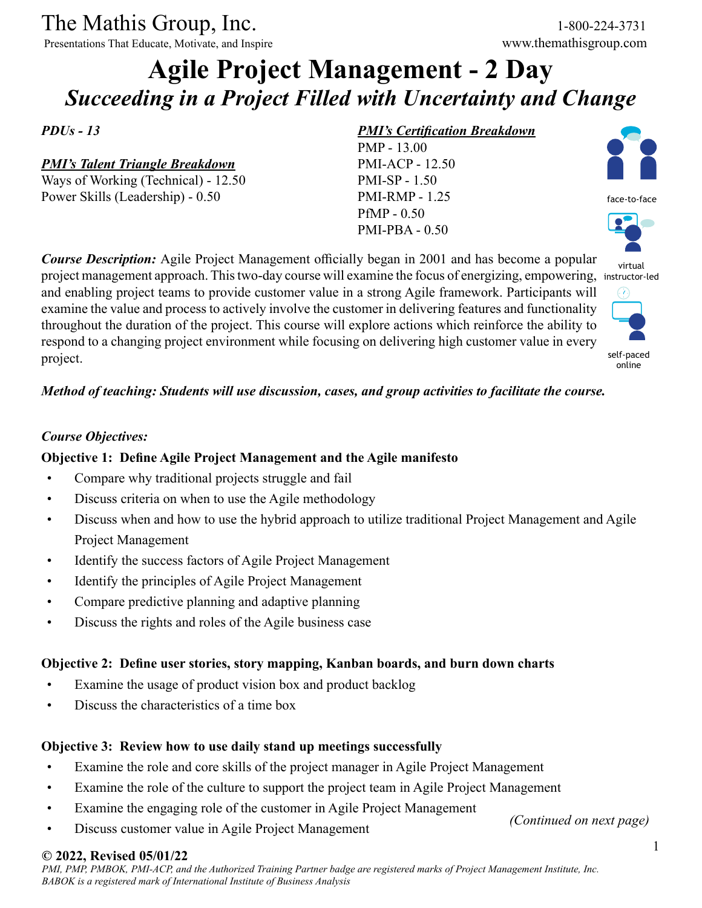The Mathis Group, Inc. 1-800-224-3731

Presentations That Educate, Motivate, and Inspire www.themathisgroup.com

# **Agile Project Management - 2 Day** *Succeeding in a Project Filled with Uncertainty and Change*

*PDUs - 13*

# *PMI's Talent Triangle Breakdown*

Ways of Working (Technical) - 12.50 Power Skills (Leadership) - 0.50

### *PMI's Certification Breakdown*

PMP - 13.00 PMI-ACP - 12.50 PMI-SP - 1.50 PMI-RMP - 1.25 PfMP - 0.50 PMI-PBA - 0.50



virtual project management approach. This two-day course will examine the focus of energizing, empowering, instructor-led  $(7)$ 



self-paced online

#### *Method of teaching: Students will use discussion, cases, and group activities to facilitate the course.*

*Course Description:* Agile Project Management officially began in 2001 and has become a popular

and enabling project teams to provide customer value in a strong Agile framework. Participants will examine the value and process to actively involve the customer in delivering features and functionality throughout the duration of the project. This course will explore actions which reinforce the ability to respond to a changing project environment while focusing on delivering high customer value in every

#### *Course Objectives:*

project.

### **Objective 1: Define Agile Project Management and the Agile manifesto**

- Compare why traditional projects struggle and fail
- Discuss criteria on when to use the Agile methodology
- Discuss when and how to use the hybrid approach to utilize traditional Project Management and Agile Project Management
- Identify the success factors of Agile Project Management
- Identify the principles of Agile Project Management
- Compare predictive planning and adaptive planning
- Discuss the rights and roles of the Agile business case

#### **Objective 2: Define user stories, story mapping, Kanban boards, and burn down charts**

- Examine the usage of product vision box and product backlog
- Discuss the characteristics of a time box

#### **Objective 3: Review how to use daily stand up meetings successfully**

- Examine the role and core skills of the project manager in Agile Project Management
- Examine the role of the culture to support the project team in Agile Project Management
- Examine the engaging role of the customer in Agile Project Management
- Discuss customer value in Agile Project Management

*(Continued on next page)*

## **© 2022, Revised 05/01/22**

*PMI, PMP, PMBOK, PMI-ACP, and the Authorized Training Partner badge are registered marks of Project Management Institute, Inc. BABOK is a registered mark of International Institute of Business Analysis*